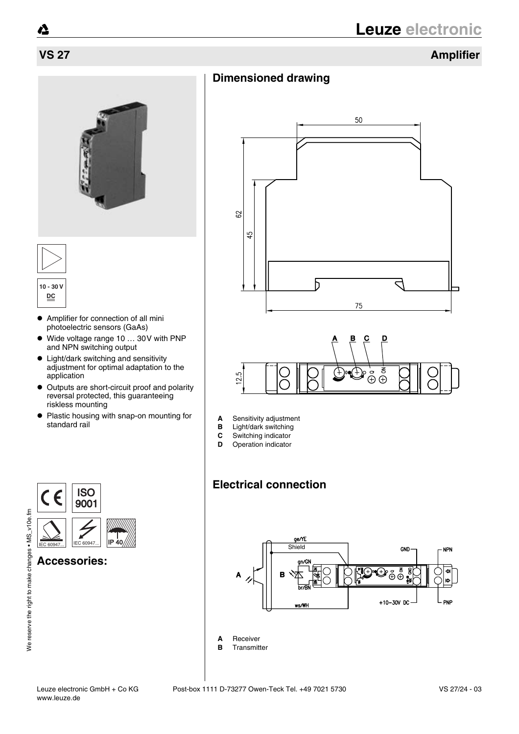## **VS 27 Amplifier**



- $\bullet$  Amplifier for connection of all mini photoelectric sensors (GaAs)
- ! Wide voltage range 10 … 30V with PNP and NPN switching output
- Light/dark switching and sensitivity adjustment for optimal adaptation to the application
- Outputs are short-circuit proof and polarity reversal protected, this guaranteeing riskless mounting
- Plastic housing with snap-on mounting for standard rail



**Accessories:**







- **A** Sensitivity adjustment<br>**B** Light/dark switching
- **B** Light/dark switching<br>**C** Switching indicator
- Switching indicator
- **D** Operation indicator

## **Electrical connection**



- **A** Receiver
- **B** Transmitter